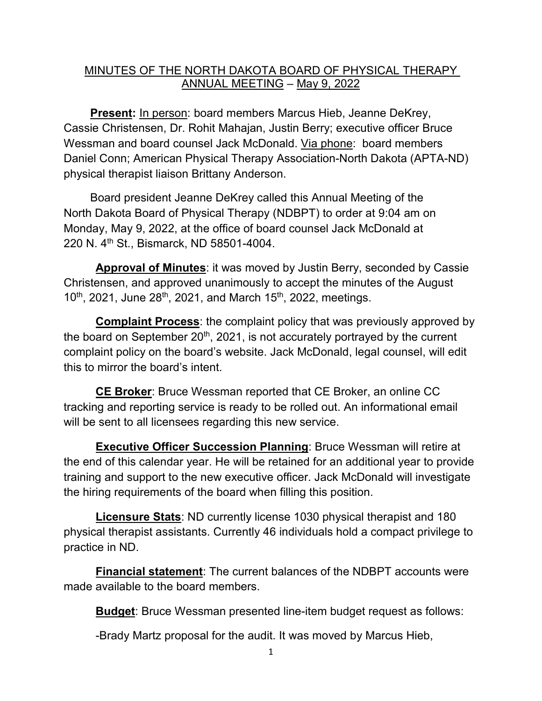## MINUTES OF THE NORTH DAKOTA BOARD OF PHYSICAL THERAPY ANNUAL MEETING – May 9, 2022

**Present:** In person: board members Marcus Hieb, Jeanne DeKrey, Cassie Christensen, Dr. Rohit Mahajan, Justin Berry; executive officer Bruce Wessman and board counsel Jack McDonald. Via phone: board members Daniel Conn; American Physical Therapy Association-North Dakota (APTA-ND) physical therapist liaison Brittany Anderson.

Board president Jeanne DeKrey called this Annual Meeting of the North Dakota Board of Physical Therapy (NDBPT) to order at 9:04 am on Monday, May 9, 2022, at the office of board counsel Jack McDonald at 220 N. 4th St., Bismarck, ND 58501-4004.

**Approval of Minutes**: it was moved by Justin Berry, seconded by Cassie Christensen, and approved unanimously to accept the minutes of the August  $10^{th}$ , 2021, June 28<sup>th</sup>, 2021, and March 15<sup>th</sup>, 2022, meetings.

**Complaint Process**: the complaint policy that was previously approved by the board on September  $20<sup>th</sup>$ , 2021, is not accurately portrayed by the current complaint policy on the board's website. Jack McDonald, legal counsel, will edit this to mirror the board's intent.

**CE Broker**: Bruce Wessman reported that CE Broker, an online CC tracking and reporting service is ready to be rolled out. An informational email will be sent to all licensees regarding this new service.

**Executive Officer Succession Planning**: Bruce Wessman will retire at the end of this calendar year. He will be retained for an additional year to provide training and support to the new executive officer. Jack McDonald will investigate the hiring requirements of the board when filling this position.

**Licensure Stats**: ND currently license 1030 physical therapist and 180 physical therapist assistants. Currently 46 individuals hold a compact privilege to practice in ND.

**Financial statement**: The current balances of the NDBPT accounts were made available to the board members.

**Budget**: Bruce Wessman presented line-item budget request as follows:

-Brady Martz proposal for the audit. It was moved by Marcus Hieb,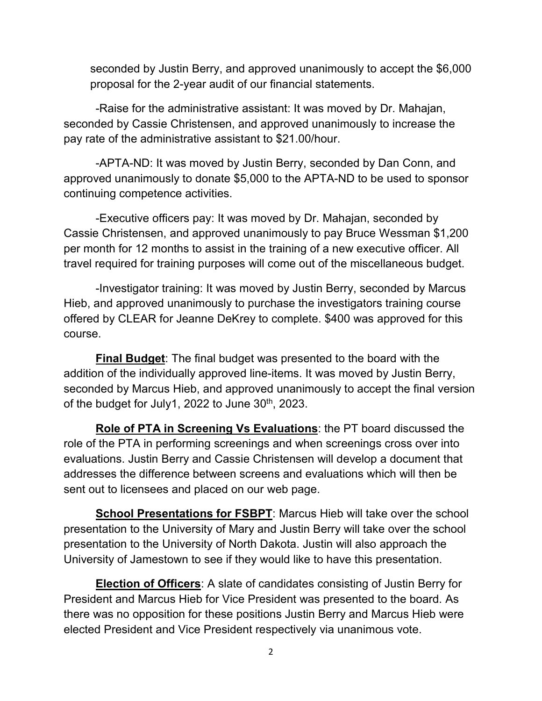seconded by Justin Berry, and approved unanimously to accept the \$6,000 proposal for the 2-year audit of our financial statements.

-Raise for the administrative assistant: It was moved by Dr. Mahajan, seconded by Cassie Christensen, and approved unanimously to increase the pay rate of the administrative assistant to \$21.00/hour.

-APTA-ND: It was moved by Justin Berry, seconded by Dan Conn, and approved unanimously to donate \$5,000 to the APTA-ND to be used to sponsor continuing competence activities.

-Executive officers pay: It was moved by Dr. Mahajan, seconded by Cassie Christensen, and approved unanimously to pay Bruce Wessman \$1,200 per month for 12 months to assist in the training of a new executive officer. All travel required for training purposes will come out of the miscellaneous budget.

-Investigator training: It was moved by Justin Berry, seconded by Marcus Hieb, and approved unanimously to purchase the investigators training course offered by CLEAR for Jeanne DeKrey to complete. \$400 was approved for this course.

**Final Budget**: The final budget was presented to the board with the addition of the individually approved line-items. It was moved by Justin Berry, seconded by Marcus Hieb, and approved unanimously to accept the final version of the budget for July1, 2022 to June  $30<sup>th</sup>$ , 2023.

**Role of PTA in Screening Vs Evaluations**: the PT board discussed the role of the PTA in performing screenings and when screenings cross over into evaluations. Justin Berry and Cassie Christensen will develop a document that addresses the difference between screens and evaluations which will then be sent out to licensees and placed on our web page.

**School Presentations for FSBPT:** Marcus Hieb will take over the school presentation to the University of Mary and Justin Berry will take over the school presentation to the University of North Dakota. Justin will also approach the University of Jamestown to see if they would like to have this presentation.

**Election of Officers**: A slate of candidates consisting of Justin Berry for President and Marcus Hieb for Vice President was presented to the board. As there was no opposition for these positions Justin Berry and Marcus Hieb were elected President and Vice President respectively via unanimous vote.